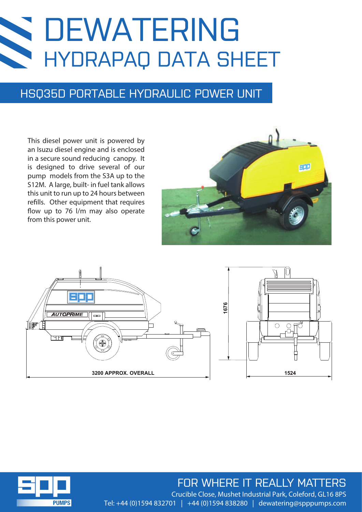# DEWATERING HYDRAPAQ DATA SHEET

### HSQ35D PORTABLE HYDRAULIC POWER UNIT

This diesel power unit is powered by an Isuzu diesel engine and is enclosed in a secure sound reducing canopy. It is designed to drive several of our pump models from the S3A up to the S12M. A large, built- in fuel tank allows this unit to run up to 24 hours between refills. Other equipment that requires flow up to 76 l/m may also operate from this power unit.





### FOR WHERE IT REALLY MATTERS

**PUMPS** 

Crucible Close, Mushet Industrial Park, Coleford, GL16 8PS Tel: +44 (0)1594 832701 | +44 (0)1594 838280 | dewatering@spppumps.com